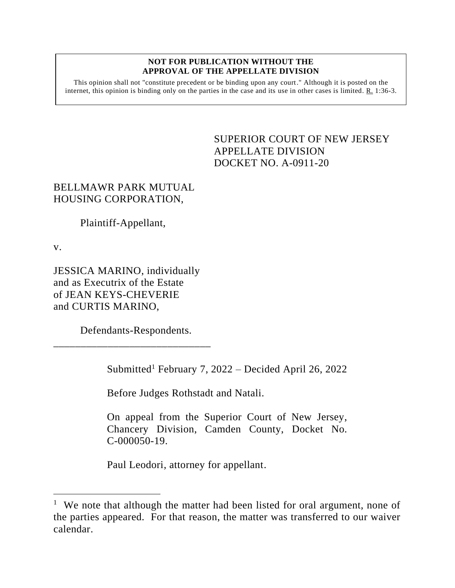## **NOT FOR PUBLICATION WITHOUT THE APPROVAL OF THE APPELLATE DIVISION**

This opinion shall not "constitute precedent or be binding upon any court." Although it is posted on the internet, this opinion is binding only on the parties in the case and its use in other cases is limited. R. 1:36-3.

> <span id="page-0-0"></span>SUPERIOR COURT OF NEW JERSEY APPELLATE DIVISION DOCKET NO. A-0911-20

## BELLMAWR PARK MUTUAL HOUSING CORPORATION,

Plaintiff-Appellant,

v.

JESSICA MARINO, individually and as Executrix of the Estate of JEAN KEYS-CHEVERIE and CURTIS MARINO,

Defendants-Respondents.

\_\_\_\_\_\_\_\_\_\_\_\_\_\_\_\_\_\_\_\_\_\_\_\_\_\_\_\_\_

Submitted<sup>1</sup> February 7, 2022 – Decided April 26, 2022

Before Judges Rothstadt and Natali.

On appeal from the Superior Court of New Jersey, Chancery Division, Camden County, Docket No. C-000050-19.

Paul Leodori, attorney for appellant.

<sup>&</sup>lt;sup>1</sup> We note that although the matter had been listed for oral argument, none of the parties appeared. For that reason, the matter was transferred to our waiver calendar.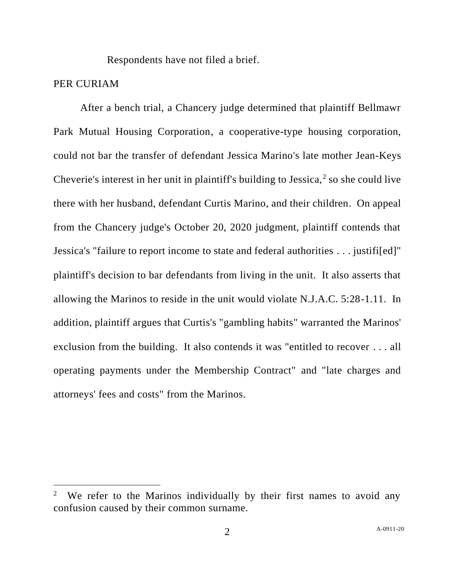Respondents have not filed a brief.

## PER CURIAM

After a bench trial, a Chancery judge determined that plaintiff Bellmawr Park Mutual Housing Corporation, a cooperative-type housing corporation, could not bar the transfer of defendant Jessica Marino's late mother Jean-Keys Cheverie's interest in her unit in plaintiff's building to Jessica, $2$  so she could live there with her husband, defendant Curtis Marino, and their children. On appeal from the Chancery judge's October 20, 2020 judgment, plaintiff contends that Jessica's "failure to report income to state and federal authorities . . . justifi[ed]" plaintiff's decision to bar defendants from living in the unit. It also asserts that allowing the Marinos to reside in the unit would violate N.J.A.C. 5:28-1.11. In addition, plaintiff argues that Curtis's "gambling habits" warranted the Marinos' exclusion from the building. It also contends it was "entitled to recover . . . all operating payments under the Membership Contract" and "late charges and attorneys' fees and costs" from the Marinos.

<sup>2</sup> We refer to the Marinos individually by their first names to avoid any confusion caused by their common surname.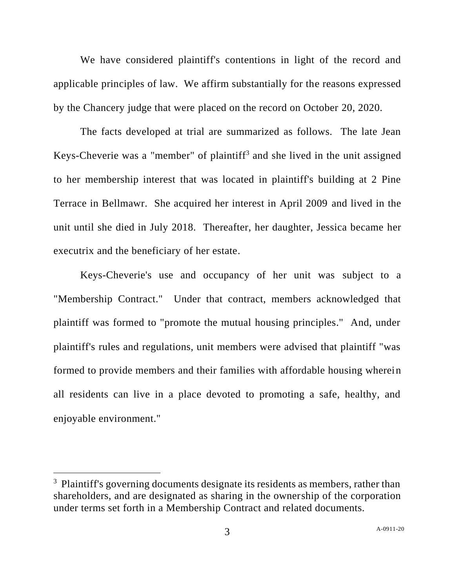We have considered plaintiff's contentions in light of the record and applicable principles of law. We affirm substantially for the reasons expressed by the Chancery judge that were placed on the record on October 20, 2020.

The facts developed at trial are summarized as follows. The late Jean Keys-Cheverie was a "member" of plaintiff<sup>3</sup> and she lived in the unit assigned to her membership interest that was located in plaintiff's building at 2 Pine Terrace in Bellmawr. She acquired her interest in April 2009 and lived in the unit until she died in July 2018. Thereafter, her daughter, Jessica became her executrix and the beneficiary of her estate.

Keys-Cheverie's use and occupancy of her unit was subject to a "Membership Contract." Under that contract, members acknowledged that plaintiff was formed to "promote the mutual housing principles." And, under plaintiff's rules and regulations, unit members were advised that plaintiff "was formed to provide members and their families with affordable housing wherein all residents can live in a place devoted to promoting a safe, healthy, and enjoyable environment."

<sup>&</sup>lt;sup>3</sup> Plaintiff's governing documents designate its residents as members, rather than shareholders, and are designated as sharing in the ownership of the corporation under terms set forth in a Membership Contract and related documents.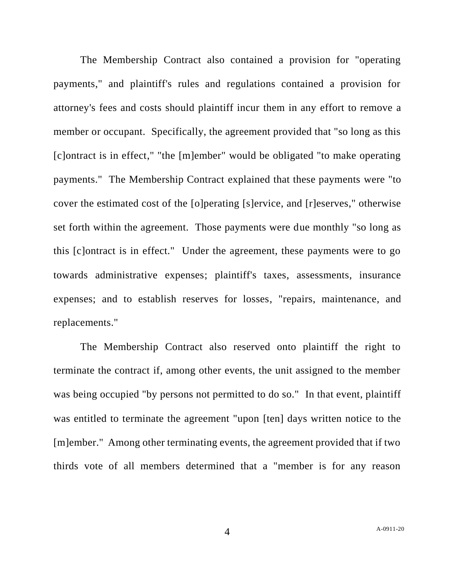The Membership Contract also contained a provision for "operating payments," and plaintiff's rules and regulations contained a provision for attorney's fees and costs should plaintiff incur them in any effort to remove a member or occupant. Specifically, the agreement provided that "so long as this [c]ontract is in effect," "the [m]ember" would be obligated "to make operating payments." The Membership Contract explained that these payments were "to cover the estimated cost of the [o]perating [s]ervice, and [r]eserves," otherwise set forth within the agreement. Those payments were due monthly "so long as this [c]ontract is in effect." Under the agreement, these payments were to go towards administrative expenses; plaintiff's taxes, assessments, insurance expenses; and to establish reserves for losses, "repairs, maintenance, and replacements."

The Membership Contract also reserved onto plaintiff the right to terminate the contract if, among other events, the unit assigned to the member was being occupied "by persons not permitted to do so." In that event, plaintiff was entitled to terminate the agreement "upon [ten] days written notice to the [m]ember." Among other terminating events, the agreement provided that if two thirds vote of all members determined that a "member is for any reason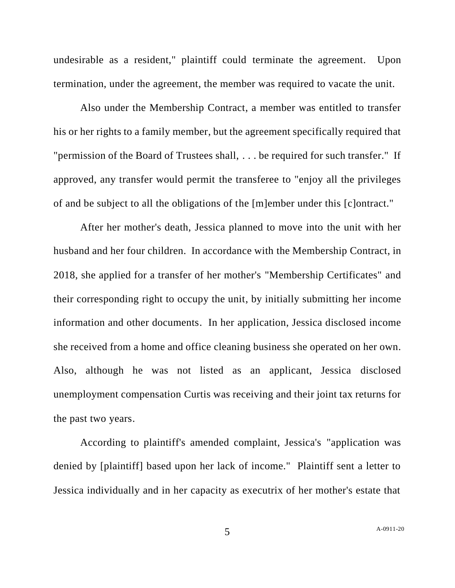undesirable as a resident," plaintiff could terminate the agreement. Upon termination, under the agreement, the member was required to vacate the unit.

Also under the Membership Contract, a member was entitled to transfer his or her rights to a family member, but the agreement specifically required that "permission of the Board of Trustees shall, . . . be required for such transfer." If approved, any transfer would permit the transferee to "enjoy all the privileges of and be subject to all the obligations of the [m]ember under this [c]ontract."

After her mother's death, Jessica planned to move into the unit with her husband and her four children. In accordance with the Membership Contract, in 2018, she applied for a transfer of her mother's "Membership Certificates" and their corresponding right to occupy the unit, by initially submitting her income information and other documents. In her application, Jessica disclosed income she received from a home and office cleaning business she operated on her own. Also, although he was not listed as an applicant, Jessica disclosed unemployment compensation Curtis was receiving and their joint tax returns for the past two years.

According to plaintiff's amended complaint, Jessica's "application was denied by [plaintiff] based upon her lack of income." Plaintiff sent a letter to Jessica individually and in her capacity as executrix of her mother's estate that

5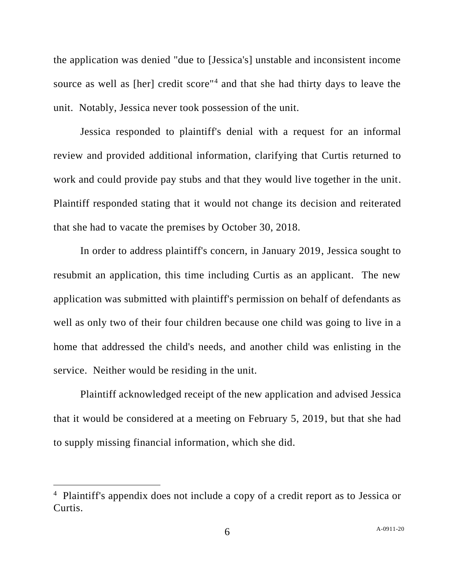the application was denied "due to [Jessica's] unstable and inconsistent income source as well as [her] credit score<sup>"4</sup> and that she had thirty days to leave the unit. Notably, Jessica never took possession of the unit.

Jessica responded to plaintiff's denial with a request for an informal review and provided additional information, clarifying that Curtis returned to work and could provide pay stubs and that they would live together in the unit. Plaintiff responded stating that it would not change its decision and reiterated that she had to vacate the premises by October 30, 2018.

In order to address plaintiff's concern, in January 2019, Jessica sought to resubmit an application, this time including Curtis as an applicant. The new application was submitted with plaintiff's permission on behalf of defendants as well as only two of their four children because one child was going to live in a home that addressed the child's needs, and another child was enlisting in the service. Neither would be residing in the unit.

Plaintiff acknowledged receipt of the new application and advised Jessica that it would be considered at a meeting on February 5, 2019, but that she had to supply missing financial information, which she did.

<sup>&</sup>lt;sup>4</sup> Plaintiff's appendix does not include a copy of a credit report as to Jessica or Curtis.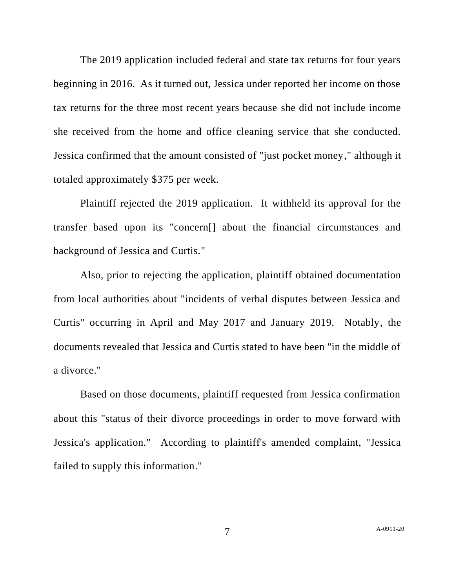The 2019 application included federal and state tax returns for four years beginning in 2016. As it turned out, Jessica under reported her income on those tax returns for the three most recent years because she did not include income she received from the home and office cleaning service that she conducted. Jessica confirmed that the amount consisted of "just pocket money," although it totaled approximately \$375 per week.

Plaintiff rejected the 2019 application. It withheld its approval for the transfer based upon its "concern[] about the financial circumstances and background of Jessica and Curtis."

Also, prior to rejecting the application, plaintiff obtained documentation from local authorities about "incidents of verbal disputes between Jessica and Curtis" occurring in April and May 2017 and January 2019. Notably, the documents revealed that Jessica and Curtis stated to have been "in the middle of a divorce."

Based on those documents, plaintiff requested from Jessica confirmation about this "status of their divorce proceedings in order to move forward with Jessica's application." According to plaintiff's amended complaint, "Jessica failed to supply this information."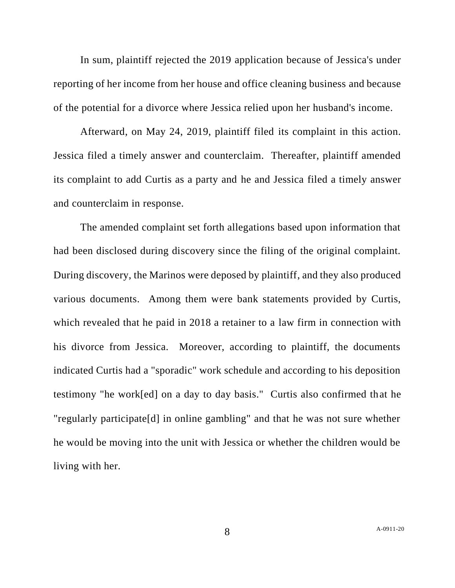In sum, plaintiff rejected the 2019 application because of Jessica's under reporting of her income from her house and office cleaning business and because of the potential for a divorce where Jessica relied upon her husband's income.

Afterward, on May 24, 2019, plaintiff filed its complaint in this action. Jessica filed a timely answer and counterclaim. Thereafter, plaintiff amended its complaint to add Curtis as a party and he and Jessica filed a timely answer and counterclaim in response.

The amended complaint set forth allegations based upon information that had been disclosed during discovery since the filing of the original complaint. During discovery, the Marinos were deposed by plaintiff, and they also produced various documents. Among them were bank statements provided by Curtis, which revealed that he paid in 2018 a retainer to a law firm in connection with his divorce from Jessica. Moreover, according to plaintiff, the documents indicated Curtis had a "sporadic" work schedule and according to his deposition testimony "he work[ed] on a day to day basis." Curtis also confirmed that he "regularly participate[d] in online gambling" and that he was not sure whether he would be moving into the unit with Jessica or whether the children would be living with her.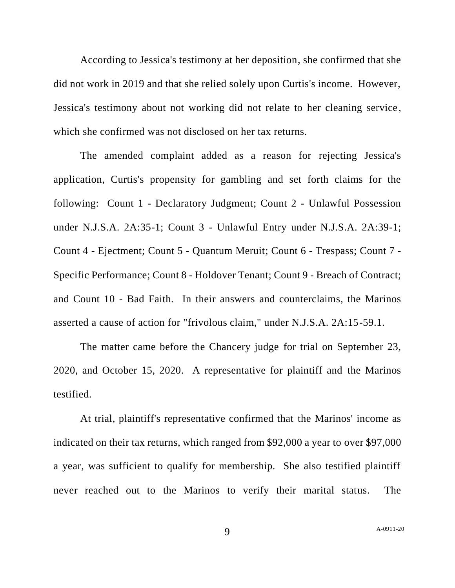According to Jessica's testimony at her deposition, she confirmed that she did not work in 2019 and that she relied solely upon Curtis's income. However, Jessica's testimony about not working did not relate to her cleaning service , which she confirmed was not disclosed on her tax returns.

The amended complaint added as a reason for rejecting Jessica's application, Curtis's propensity for gambling and set forth claims for the following: Count 1 - Declaratory Judgment; Count 2 - Unlawful Possession under N.J.S.A. 2A:35-1; Count 3 - Unlawful Entry under N.J.S.A. 2A:39-1; Count 4 - Ejectment; Count 5 - Quantum Meruit; Count 6 - Trespass; Count 7 - Specific Performance; Count 8 - Holdover Tenant; Count 9 - Breach of Contract; and Count 10 - Bad Faith. In their answers and counterclaims, the Marinos asserted a cause of action for "frivolous claim," under N.J.S.A. 2A:15-59.1.

The matter came before the Chancery judge for trial on September 23, 2020, and October 15, 2020. A representative for plaintiff and the Marinos testified.

At trial, plaintiff's representative confirmed that the Marinos' income as indicated on their tax returns, which ranged from \$92,000 a year to over \$97,000 a year, was sufficient to qualify for membership. She also testified plaintiff never reached out to the Marinos to verify their marital status. The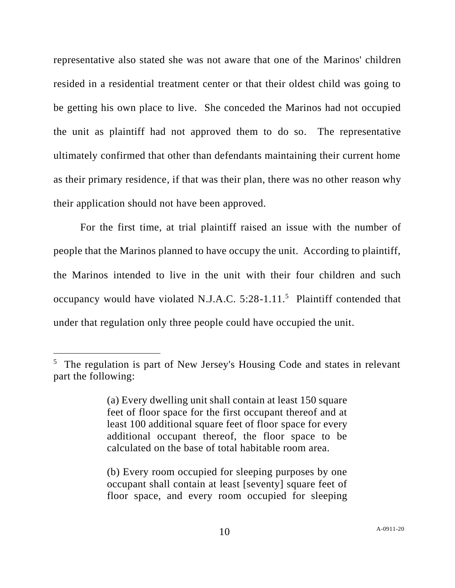representative also stated she was not aware that one of the Marinos' children resided in a residential treatment center or that their oldest child was going to be getting his own place to live. She conceded the Marinos had not occupied the unit as plaintiff had not approved them to do so. The representative ultimately confirmed that other than defendants maintaining their current home as their primary residence, if that was their plan, there was no other reason why their application should not have been approved.

For the first time, at trial plaintiff raised an issue with the number of people that the Marinos planned to have occupy the unit. According to plaintiff, the Marinos intended to live in the unit with their four children and such occupancy would have violated N.J.A.C.  $5:28-1.11$ <sup>5</sup> Plaintiff contended that under that regulation only three people could have occupied the unit.

<sup>&</sup>lt;sup>5</sup> The regulation is part of New Jersey's Housing Code and states in relevant part the following:

<sup>(</sup>a) Every dwelling unit shall contain at least 150 square feet of floor space for the first occupant thereof and at least 100 additional square feet of floor space for every additional occupant thereof, the floor space to be calculated on the base of total habitable room area.

<sup>(</sup>b) Every room occupied for sleeping purposes by one occupant shall contain at least [seventy] square feet of floor space, and every room occupied for sleeping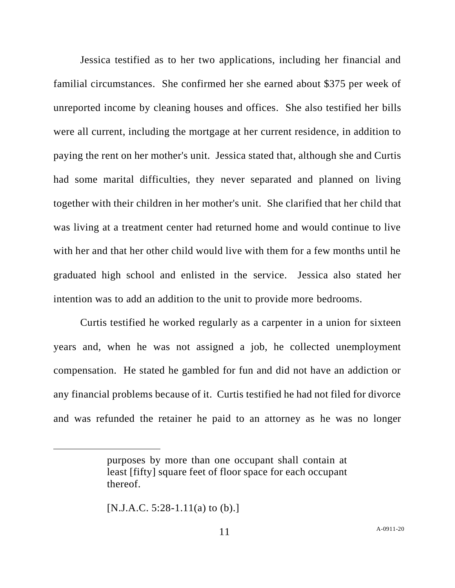Jessica testified as to her two applications, including her financial and familial circumstances. She confirmed her she earned about \$375 per week of unreported income by cleaning houses and offices. She also testified her bills were all current, including the mortgage at her current residence, in addition to paying the rent on her mother's unit. Jessica stated that, although she and Curtis had some marital difficulties, they never separated and planned on living together with their children in her mother's unit. She clarified that her child that was living at a treatment center had returned home and would continue to live with her and that her other child would live with them for a few months until he graduated high school and enlisted in the service. Jessica also stated her intention was to add an addition to the unit to provide more bedrooms.

Curtis testified he worked regularly as a carpenter in a union for sixteen years and, when he was not assigned a job, he collected unemployment compensation. He stated he gambled for fun and did not have an addiction or any financial problems because of it. Curtis testified he had not filed for divorce and was refunded the retainer he paid to an attorney as he was no longer

 $[N.J.A.C. 5:28-1.11(a) to (b).]$ 

purposes by more than one occupant shall contain at least [fifty] square feet of floor space for each occupant thereof.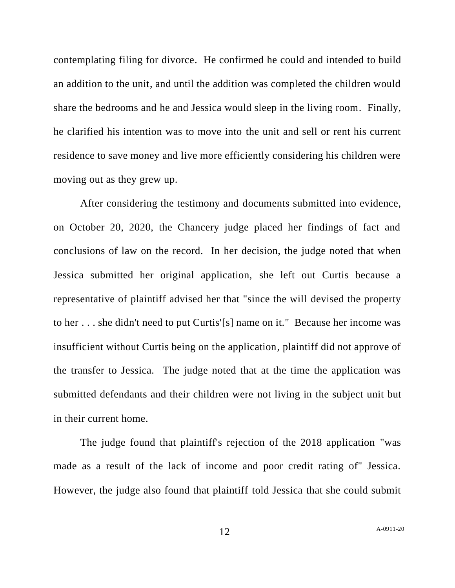contemplating filing for divorce. He confirmed he could and intended to build an addition to the unit, and until the addition was completed the children would share the bedrooms and he and Jessica would sleep in the living room. Finally, he clarified his intention was to move into the unit and sell or rent his current residence to save money and live more efficiently considering his children were moving out as they grew up.

After considering the testimony and documents submitted into evidence, on October 20, 2020, the Chancery judge placed her findings of fact and conclusions of law on the record. In her decision, the judge noted that when Jessica submitted her original application, she left out Curtis because a representative of plaintiff advised her that "since the will devised the property to her . . . she didn't need to put Curtis'[s] name on it." Because her income was insufficient without Curtis being on the application, plaintiff did not approve of the transfer to Jessica. The judge noted that at the time the application was submitted defendants and their children were not living in the subject unit but in their current home.

The judge found that plaintiff's rejection of the 2018 application "was made as a result of the lack of income and poor credit rating of" Jessica. However, the judge also found that plaintiff told Jessica that she could submit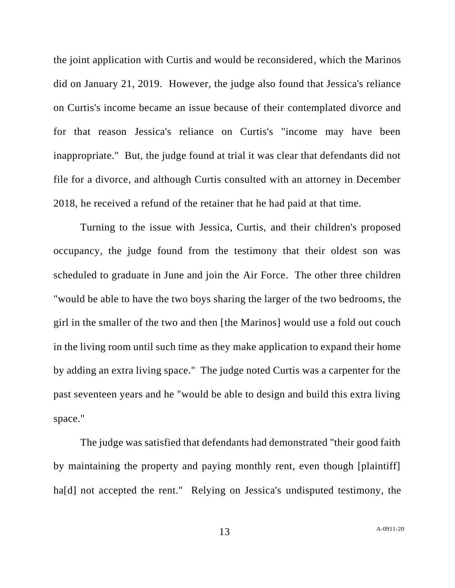the joint application with Curtis and would be reconsidered, which the Marinos did on January 21, 2019. However, the judge also found that Jessica's reliance on Curtis's income became an issue because of their contemplated divorce and for that reason Jessica's reliance on Curtis's "income may have been inappropriate." But, the judge found at trial it was clear that defendants did not file for a divorce, and although Curtis consulted with an attorney in December 2018, he received a refund of the retainer that he had paid at that time.

Turning to the issue with Jessica, Curtis, and their children's proposed occupancy, the judge found from the testimony that their oldest son was scheduled to graduate in June and join the Air Force. The other three children "would be able to have the two boys sharing the larger of the two bedrooms, the girl in the smaller of the two and then [the Marinos] would use a fold out couch in the living room until such time as they make application to expand their home by adding an extra living space." The judge noted Curtis was a carpenter for the past seventeen years and he "would be able to design and build this extra living space."

The judge was satisfied that defendants had demonstrated "their good faith by maintaining the property and paying monthly rent, even though [plaintiff] ha<sup>[d]</sup> not accepted the rent." Relying on Jessica's undisputed testimony, the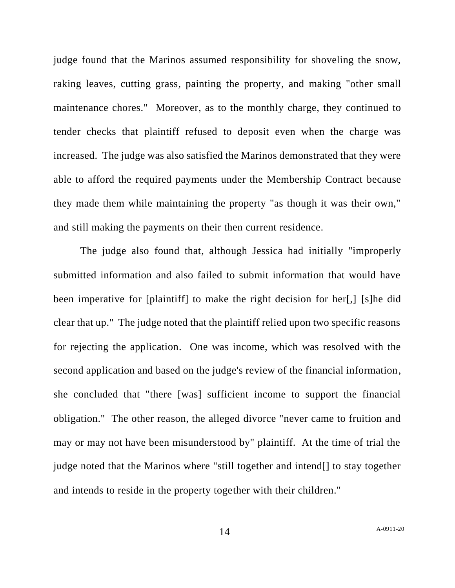judge found that the Marinos assumed responsibility for shoveling the snow, raking leaves, cutting grass, painting the property, and making "other small maintenance chores." Moreover, as to the monthly charge, they continued to tender checks that plaintiff refused to deposit even when the charge was increased. The judge was also satisfied the Marinos demonstrated that they were able to afford the required payments under the Membership Contract because they made them while maintaining the property "as though it was their own," and still making the payments on their then current residence.

The judge also found that, although Jessica had initially "improperly submitted information and also failed to submit information that would have been imperative for [plaintiff] to make the right decision for her[,] [s]he did clear that up." The judge noted that the plaintiff relied upon two specific reasons for rejecting the application. One was income, which was resolved with the second application and based on the judge's review of the financial information, she concluded that "there [was] sufficient income to support the financial obligation." The other reason, the alleged divorce "never came to fruition and may or may not have been misunderstood by" plaintiff. At the time of trial the judge noted that the Marinos where "still together and intend[] to stay together and intends to reside in the property together with their children."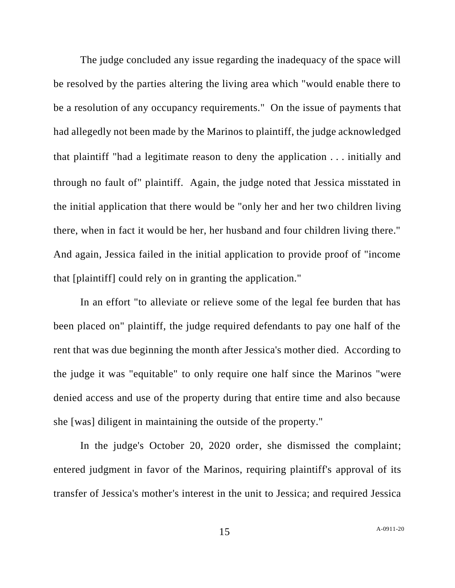The judge concluded any issue regarding the inadequacy of the space will be resolved by the parties altering the living area which "would enable there to be a resolution of any occupancy requirements." On the issue of payments that had allegedly not been made by the Marinos to plaintiff, the judge acknowledged that plaintiff "had a legitimate reason to deny the application . . . initially and through no fault of" plaintiff. Again, the judge noted that Jessica misstated in the initial application that there would be "only her and her two children living there, when in fact it would be her, her husband and four children living there." And again, Jessica failed in the initial application to provide proof of "income that [plaintiff] could rely on in granting the application."

In an effort "to alleviate or relieve some of the legal fee burden that has been placed on" plaintiff, the judge required defendants to pay one half of the rent that was due beginning the month after Jessica's mother died. According to the judge it was "equitable" to only require one half since the Marinos "were denied access and use of the property during that entire time and also because she [was] diligent in maintaining the outside of the property."

In the judge's October 20, 2020 order, she dismissed the complaint; entered judgment in favor of the Marinos, requiring plaintiff's approval of its transfer of Jessica's mother's interest in the unit to Jessica; and required Jessica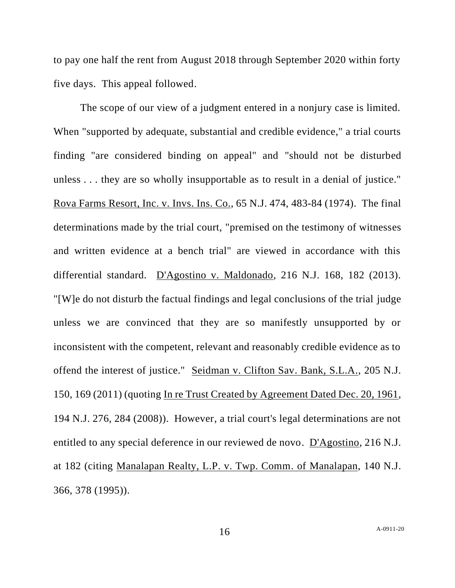to pay one half the rent from August 2018 through September 2020 within forty five days. This appeal followed.

The scope of our view of a judgment entered in a nonjury case is limited. When "supported by adequate, substantial and credible evidence," a trial courts finding "are considered binding on appeal" and "should not be disturbed unless . . . they are so wholly insupportable as to result in a denial of justice." Rova Farms Resort, Inc. v. Invs. Ins. Co., 65 N.J. 474, 483-84 (1974). The final determinations made by the trial court, "premised on the testimony of witnesses and written evidence at a bench trial" are viewed in accordance with this differential standard. D'Agostino v. Maldonado, 216 N.J. 168, 182 (2013). "[W]e do not disturb the factual findings and legal conclusions of the trial judge unless we are convinced that they are so manifestly unsupported by or inconsistent with the competent, relevant and reasonably credible evidence as to offend the interest of justice." Seidman v. Clifton Sav. Bank, S.L.A., 205 N.J. 150, 169 (2011) (quoting In re Trust Created by Agreement Dated Dec. 20, 1961, 194 N.J. 276, 284 (2008)). However, a trial court's legal determinations are not entitled to any special deference in our reviewed de novo. D'Agostino, 216 N.J. at 182 (citing Manalapan Realty, L.P. v. Twp. Comm. of Manalapan, 140 N.J. 366, 378 (1995)).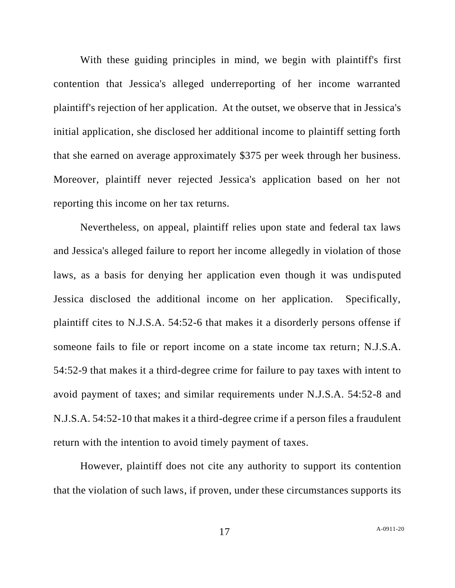With these guiding principles in mind, we begin with plaintiff's first contention that Jessica's alleged underreporting of her income warranted plaintiff's rejection of her application. At the outset, we observe that in Jessica's initial application, she disclosed her additional income to plaintiff setting forth that she earned on average approximately \$375 per week through her business. Moreover, plaintiff never rejected Jessica's application based on her not reporting this income on her tax returns.

Nevertheless, on appeal, plaintiff relies upon state and federal tax laws and Jessica's alleged failure to report her income allegedly in violation of those laws, as a basis for denying her application even though it was undisputed Jessica disclosed the additional income on her application. Specifically, plaintiff cites to N.J.S.A. 54:52-6 that makes it a disorderly persons offense if someone fails to file or report income on a state income tax return; N.J.S.A. 54:52-9 that makes it a third-degree crime for failure to pay taxes with intent to avoid payment of taxes; and similar requirements under N.J.S.A. 54:52-8 and N.J.S.A. 54:52-10 that makes it a third-degree crime if a person files a fraudulent return with the intention to avoid timely payment of taxes.

However, plaintiff does not cite any authority to support its contention that the violation of such laws, if proven, under these circumstances supports its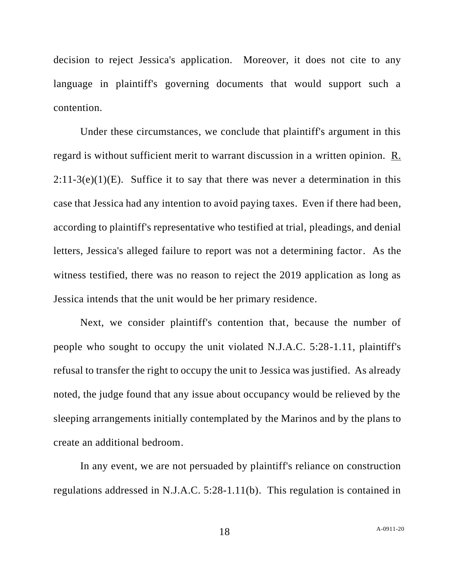decision to reject Jessica's application. Moreover, it does not cite to any language in plaintiff's governing documents that would support such a contention.

Under these circumstances, we conclude that plaintiff's argument in this regard is without sufficient merit to warrant discussion in a written opinion. R.  $2:11-3(e)(1)(E)$ . Suffice it to say that there was never a determination in this case that Jessica had any intention to avoid paying taxes. Even if there had been, according to plaintiff's representative who testified at trial, pleadings, and denial letters, Jessica's alleged failure to report was not a determining factor. As the witness testified, there was no reason to reject the 2019 application as long as Jessica intends that the unit would be her primary residence.

Next, we consider plaintiff's contention that, because the number of people who sought to occupy the unit violated N.J.A.C. 5:28-1.11, plaintiff's refusal to transfer the right to occupy the unit to Jessica was justified. As already noted, the judge found that any issue about occupancy would be relieved by the sleeping arrangements initially contemplated by the Marinos and by the plans to create an additional bedroom.

In any event, we are not persuaded by plaintiff's reliance on construction regulations addressed in N.J.A.C. 5:28-1.11(b). This regulation is contained in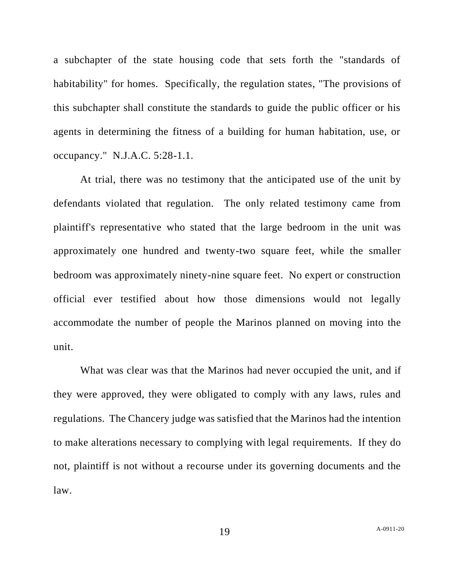a subchapter of the state housing code that sets forth the "standards of habitability" for homes. Specifically, the regulation states, "The provisions of this subchapter shall constitute the standards to guide the public officer or his agents in determining the fitness of a building for human habitation, use, or occupancy." N.J.A.C. 5:28-1.1.

At trial, there was no testimony that the anticipated use of the unit by defendants violated that regulation. The only related testimony came from plaintiff's representative who stated that the large bedroom in the unit was approximately one hundred and twenty-two square feet, while the smaller bedroom was approximately ninety-nine square feet. No expert or construction official ever testified about how those dimensions would not legally accommodate the number of people the Marinos planned on moving into the unit.

What was clear was that the Marinos had never occupied the unit, and if they were approved, they were obligated to comply with any laws, rules and regulations. The Chancery judge was satisfied that the Marinos had the intention to make alterations necessary to complying with legal requirements. If they do not, plaintiff is not without a recourse under its governing documents and the law.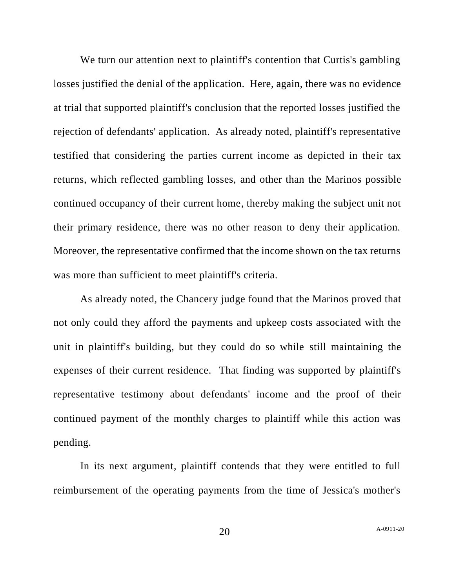We turn our attention next to plaintiff's contention that Curtis's gambling losses justified the denial of the application. Here, again, there was no evidence at trial that supported plaintiff's conclusion that the reported losses justified the rejection of defendants' application. As already noted, plaintiff's representative testified that considering the parties current income as depicted in their tax returns, which reflected gambling losses, and other than the Marinos possible continued occupancy of their current home, thereby making the subject unit not their primary residence, there was no other reason to deny their application. Moreover, the representative confirmed that the income shown on the tax returns was more than sufficient to meet plaintiff's criteria.

As already noted, the Chancery judge found that the Marinos proved that not only could they afford the payments and upkeep costs associated with the unit in plaintiff's building, but they could do so while still maintaining the expenses of their current residence. That finding was supported by plaintiff's representative testimony about defendants' income and the proof of their continued payment of the monthly charges to plaintiff while this action was pending.

In its next argument, plaintiff contends that they were entitled to full reimbursement of the operating payments from the time of Jessica's mother's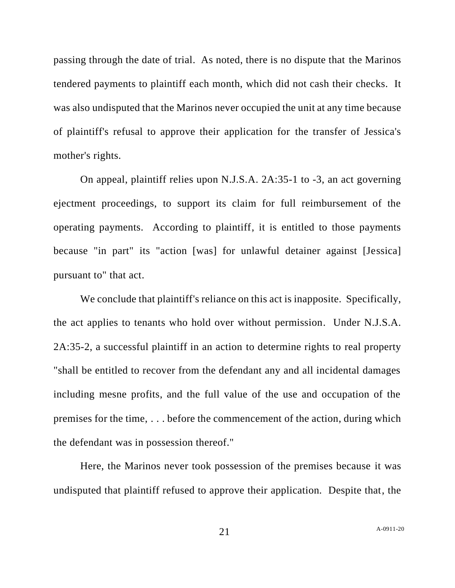passing through the date of trial. As noted, there is no dispute that the Marinos tendered payments to plaintiff each month, which did not cash their checks. It was also undisputed that the Marinos never occupied the unit at any time because of plaintiff's refusal to approve their application for the transfer of Jessica's mother's rights.

On appeal, plaintiff relies upon N.J.S.A. 2A:35-1 to -3, an act governing ejectment proceedings, to support its claim for full reimbursement of the operating payments. According to plaintiff, it is entitled to those payments because "in part" its "action [was] for unlawful detainer against [Jessica] pursuant to" that act.

We conclude that plaintiff's reliance on this act is inapposite. Specifically, the act applies to tenants who hold over without permission. Under N.J.S.A. 2A:35-2, a successful plaintiff in an action to determine rights to real property "shall be entitled to recover from the defendant any and all incidental damages including mesne profits, and the full value of the use and occupation of the premises for the time, . . . before the commencement of the action, during which the defendant was in possession thereof."

Here, the Marinos never took possession of the premises because it was undisputed that plaintiff refused to approve their application. Despite that, the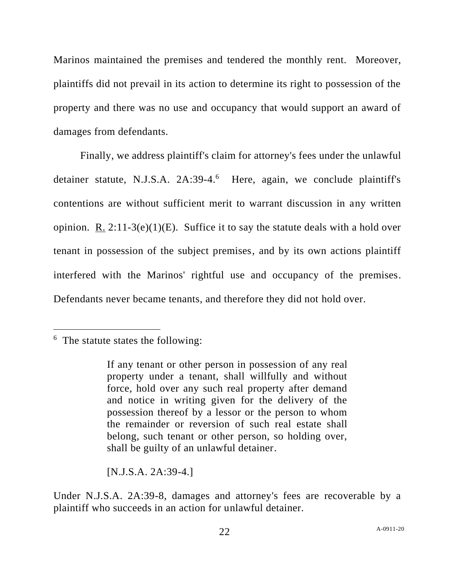Marinos maintained the premises and tendered the monthly rent. Moreover, plaintiffs did not prevail in its action to determine its right to possession of the property and there was no use and occupancy that would support an award of damages from defendants.

Finally, we address plaintiff's claim for attorney's fees under the unlawful detainer statute, N.J.S.A. 2A:39-4.<sup>6</sup> Here, again, we conclude plaintiff's contentions are without sufficient merit to warrant discussion in any written opinion. R.  $2:11-3(e)(1)(E)$ . Suffice it to say the statute deals with a hold over tenant in possession of the subject premises, and by its own actions plaintiff interfered with the Marinos' rightful use and occupancy of the premises. Defendants never became tenants, and therefore they did not hold over.

[N.J.S.A. 2A:39-4.]

Under N.J.S.A. 2A:39-8, damages and attorney's fees are recoverable by a plaintiff who succeeds in an action for unlawful detainer.

<sup>&</sup>lt;sup>6</sup> The statute states the following:

If any tenant or other person in possession of any real property under a tenant, shall willfully and without force, hold over any such real property after demand and notice in writing given for the delivery of the possession thereof by a lessor or the person to whom the remainder or reversion of such real estate shall belong, such tenant or other person, so holding over, shall be guilty of an unlawful detainer.